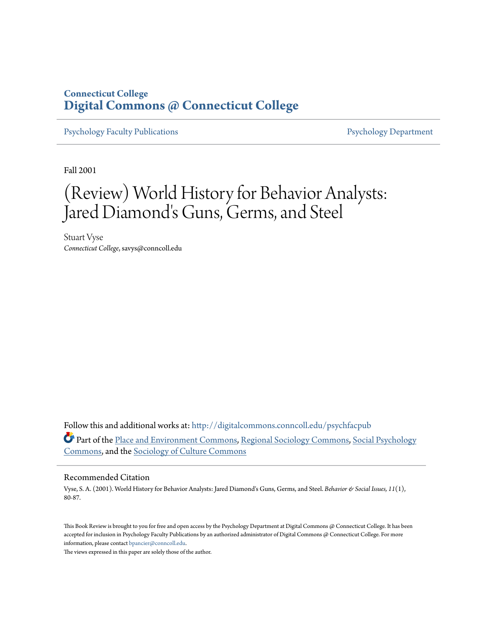## **Connecticut College [Digital Commons @ Connecticut College](http://digitalcommons.conncoll.edu?utm_source=digitalcommons.conncoll.edu%2Fpsychfacpub%2F8&utm_medium=PDF&utm_campaign=PDFCoverPages)**

[Psychology Faculty Publications](http://digitalcommons.conncoll.edu/psychfacpub?utm_source=digitalcommons.conncoll.edu%2Fpsychfacpub%2F8&utm_medium=PDF&utm_campaign=PDFCoverPages) **[Psychology Department](http://digitalcommons.conncoll.edu/psychology?utm_source=digitalcommons.conncoll.edu%2Fpsychfacpub%2F8&utm_medium=PDF&utm_campaign=PDFCoverPages)** 

Fall 2001

# (Review) World History for Behavior Analysts: Jared Diamond's Guns, Germs, and Steel

Stuart Vyse *Connecticut College*, savys@conncoll.edu

Follow this and additional works at: [http://digitalcommons.conncoll.edu/psychfacpub](http://digitalcommons.conncoll.edu/psychfacpub?utm_source=digitalcommons.conncoll.edu%2Fpsychfacpub%2F8&utm_medium=PDF&utm_campaign=PDFCoverPages) Part of the [Place and Environment Commons,](http://network.bepress.com/hgg/discipline/424?utm_source=digitalcommons.conncoll.edu%2Fpsychfacpub%2F8&utm_medium=PDF&utm_campaign=PDFCoverPages) [Regional Sociology Commons,](http://network.bepress.com/hgg/discipline/427?utm_source=digitalcommons.conncoll.edu%2Fpsychfacpub%2F8&utm_medium=PDF&utm_campaign=PDFCoverPages) [Social Psychology](http://network.bepress.com/hgg/discipline/414?utm_source=digitalcommons.conncoll.edu%2Fpsychfacpub%2F8&utm_medium=PDF&utm_campaign=PDFCoverPages) [Commons,](http://network.bepress.com/hgg/discipline/414?utm_source=digitalcommons.conncoll.edu%2Fpsychfacpub%2F8&utm_medium=PDF&utm_campaign=PDFCoverPages) and the [Sociology of Culture Commons](http://network.bepress.com/hgg/discipline/431?utm_source=digitalcommons.conncoll.edu%2Fpsychfacpub%2F8&utm_medium=PDF&utm_campaign=PDFCoverPages)

## Recommended Citation

Vyse, S. A. (2001). World History for Behavior Analysts: Jared Diamond's Guns, Germs, and Steel. *Behavior & Social Issues, 11*(1), 80-87.

This Book Review is brought to you for free and open access by the Psychology Department at Digital Commons @ Connecticut College. It has been accepted for inclusion in Psychology Faculty Publications by an authorized administrator of Digital Commons @ Connecticut College. For more information, please contact [bpancier@conncoll.edu](mailto:bpancier@conncoll.edu).

The views expressed in this paper are solely those of the author.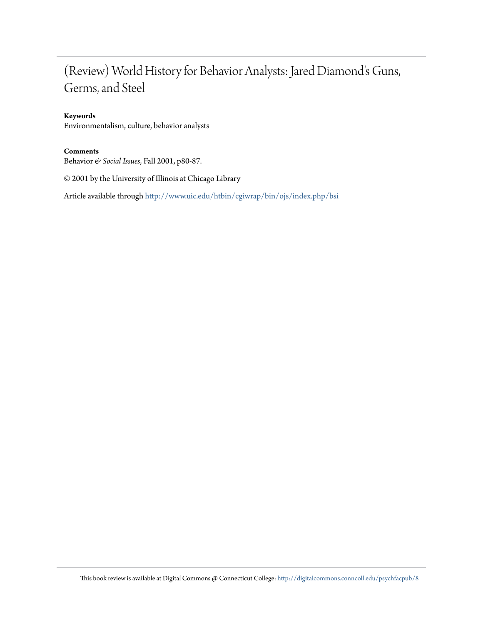## (Review) World History for Behavior Analysts: Jared Diamond's Guns, Germs, and Steel

## **Keywords**

Environmentalism, culture, behavior analysts

## **Comments**

Behavior *& Social Issues*, Fall 2001, p80-87.

© 2001 by the University of Illinois at Chicago Library

Article available through <http://www.uic.edu/htbin/cgiwrap/bin/ojs/index.php/bsi>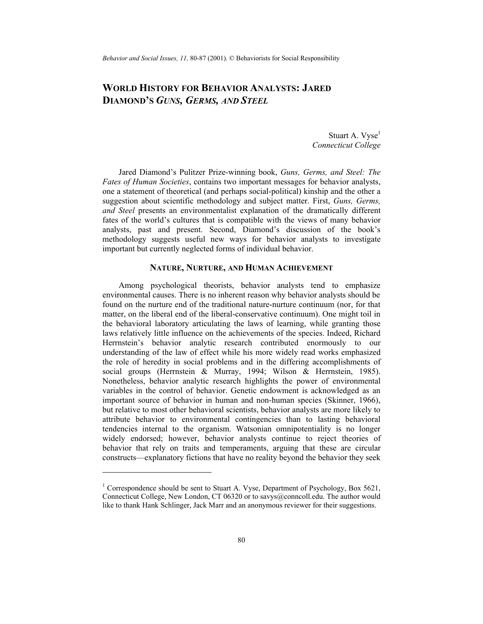*Behavior and Social Issues, 11,* 80-87 (2001). © Behaviorists for Social Responsibility

## **WORLD HISTORY FOR BEHAVIOR ANALYSTS: JARED DIAMOND'S** *GUNS, GERMS, AND STEEL*

Stuart A. Vyse<sup>1</sup> *Connecticut College*

Jared Diamond's Pulitzer Prize-winning book, *Guns, Germs, and Steel: The Fates of Human Societies*, contains two important messages for behavior analysts, one a statement of theoretical (and perhaps social-political) kinship and the other a suggestion about scientific methodology and subject matter. First, *Guns, Germs, and Steel* presents an environmentalist explanation of the dramatically different fates of the world's cultures that is compatible with the views of many behavior analysts, past and present. Second, Diamond's discussion of the book's methodology suggests useful new ways for behavior analysts to investigate important but currently neglected forms of individual behavior.

## **NATURE, NURTURE, AND HUMAN ACHIEVEMENT**

Among psychological theorists, behavior analysts tend to emphasize environmental causes. There is no inherent reason why behavior analysts should be found on the nurture end of the traditional nature-nurture continuum (nor, for that matter, on the liberal end of the liberal-conservative continuum). One might toil in the behavioral laboratory articulating the laws of learning, while granting those laws relatively little influence on the achievements of the species. Indeed, Richard Herrnstein's behavior analytic research contributed enormously to our understanding of the law of effect while his more widely read works emphasized the role of heredity in social problems and in the differing accomplishments of social groups (Herrnstein & Murray, 1994; Wilson & Herrnstein, 1985). Nonetheless, behavior analytic research highlights the power of environmental variables in the control of behavior. Genetic endowment is acknowledged as an important source of behavior in human and non-human species (Skinner, 1966), but relative to most other behavioral scientists, behavior analysts are more likely to attribute behavior to environmental contingencies than to lasting behavioral tendencies internal to the organism. Watsonian omnipotentiality is no longer widely endorsed; however, behavior analysts continue to reject theories of behavior that rely on traits and temperaments, arguing that these are circular constructs—explanatory fictions that have no reality beyond the behavior they seek

 $\overline{a}$ 

<sup>&</sup>lt;sup>1</sup> Correspondence should be sent to Stuart A. Vyse, Department of Psychology, Box 5621, Connecticut College, New London, CT 06320 or to savys@conncoll.edu. The author would like to thank Hank Schlinger, Jack Marr and an anonymous reviewer for their suggestions.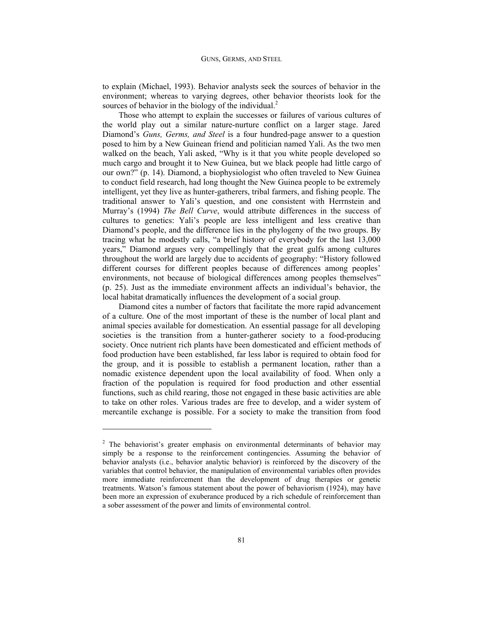to explain (Michael, 1993). Behavior analysts seek the sources of behavior in the environment; whereas to varying degrees, other behavior theorists look for the sources of behavior in the biology of the individual.<sup>2</sup>

Those who attempt to explain the successes or failures of various cultures of the world play out a similar nature-nurture conflict on a larger stage. Jared Diamond's *Guns, Germs, and Steel* is a four hundred-page answer to a question posed to him by a New Guinean friend and politician named Yali. As the two men walked on the beach, Yali asked, "Why is it that you white people developed so much cargo and brought it to New Guinea, but we black people had little cargo of our own?" (p. 14). Diamond, a biophysiologist who often traveled to New Guinea to conduct field research, had long thought the New Guinea people to be extremely intelligent, yet they live as hunter-gatherers, tribal farmers, and fishing people. The traditional answer to Yali's question, and one consistent with Herrnstein and Murray's (1994) *The Bell Curve*, would attribute differences in the success of cultures to genetics: Yali's people are less intelligent and less creative than Diamond's people, and the difference lies in the phylogeny of the two groups. By tracing what he modestly calls, "a brief history of everybody for the last 13,000 years," Diamond argues very compellingly that the great gulfs among cultures throughout the world are largely due to accidents of geography: "History followed different courses for different peoples because of differences among peoples' environments, not because of biological differences among peoples themselves" (p. 25). Just as the immediate environment affects an individual's behavior, the local habitat dramatically influences the development of a social group.

Diamond cites a number of factors that facilitate the more rapid advancement of a culture. One of the most important of these is the number of local plant and animal species available for domestication. An essential passage for all developing societies is the transition from a hunter-gatherer society to a food-producing society. Once nutrient rich plants have been domesticated and efficient methods of food production have been established, far less labor is required to obtain food for the group, and it is possible to establish a permanent location, rather than a nomadic existence dependent upon the local availability of food. When only a fraction of the population is required for food production and other essential functions, such as child rearing, those not engaged in these basic activities are able to take on other roles. Various trades are free to develop, and a wider system of mercantile exchange is possible. For a society to make the transition from food

 $\overline{a}$ 

 $2$  The behaviorist's greater emphasis on environmental determinants of behavior may simply be a response to the reinforcement contingencies. Assuming the behavior of behavior analysts (i.e., behavior analytic behavior) is reinforced by the discovery of the variables that control behavior, the manipulation of environmental variables often provides more immediate reinforcement than the development of drug therapies or genetic treatments. Watson's famous statement about the power of behaviorism (1924), may have been more an expression of exuberance produced by a rich schedule of reinforcement than a sober assessment of the power and limits of environmental control.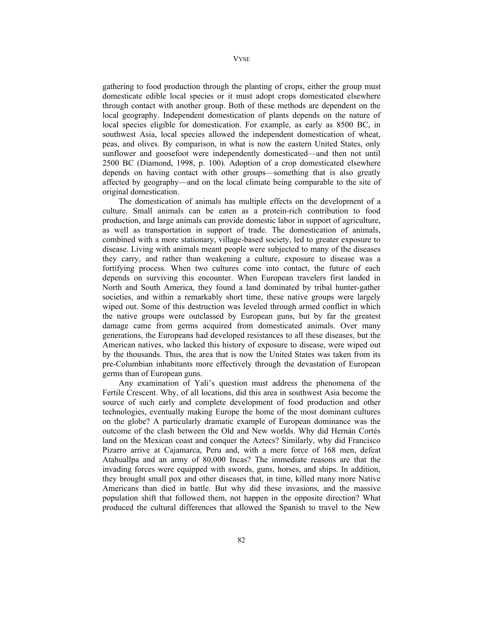**VYSE** 

gathering to food production through the planting of crops, either the group must domesticate edible local species or it must adopt crops domesticated elsewhere through contact with another group. Both of these methods are dependent on the local geography. Independent domestication of plants depends on the nature of local species eligible for domestication. For example, as early as 8500 BC, in southwest Asia, local species allowed the independent domestication of wheat, peas, and olives. By comparison, in what is now the eastern United States, only sunflower and goosefoot were independently domesticated—and then not until 2500 BC (Diamond, 1998, p. 100). Adoption of a crop domesticated elsewhere depends on having contact with other groups—something that is also greatly affected by geography—and on the local climate being comparable to the site of original domestication.

The domestication of animals has multiple effects on the development of a culture. Small animals can be eaten as a protein-rich contribution to food production, and large animals can provide domestic labor in support of agriculture, as well as transportation in support of trade. The domestication of animals, combined with a more stationary, village-based society, led to greater exposure to disease. Living with animals meant people were subjected to many of the diseases they carry, and rather than weakening a culture, exposure to disease was a fortifying process. When two cultures come into contact, the future of each depends on surviving this encounter. When European travelers first landed in North and South America, they found a land dominated by tribal hunter-gather societies, and within a remarkably short time, these native groups were largely wiped out. Some of this destruction was leveled through armed conflict in which the native groups were outclassed by European guns, but by far the greatest damage came from germs acquired from domesticated animals. Over many generations, the Europeans had developed resistances to all these diseases, but the American natives, who lacked this history of exposure to disease, were wiped out by the thousands. Thus, the area that is now the United States was taken from its pre-Columbian inhabitants more effectively through the devastation of European germs than of European guns.

Any examination of Yali's question must address the phenomena of the Fertile Crescent. Why, of all locations, did this area in southwest Asia become the source of such early and complete development of food production and other technologies, eventually making Europe the home of the most dominant cultures on the globe? A particularly dramatic example of European dominance was the outcome of the clash between the Old and New worlds. Why did Hernán Cortés land on the Mexican coast and conquer the Aztecs? Similarly, why did Francisco Pizarro arrive at Cajamarca, Peru and, with a mere force of 168 men, defeat Atahuallpa and an army of 80,000 Incas? The immediate reasons are that the invading forces were equipped with swords, guns, horses, and ships. In addition, they brought small pox and other diseases that, in time, killed many more Native Americans than died in battle. But why did these invasions, and the massive population shift that followed them, not happen in the opposite direction? What produced the cultural differences that allowed the Spanish to travel to the New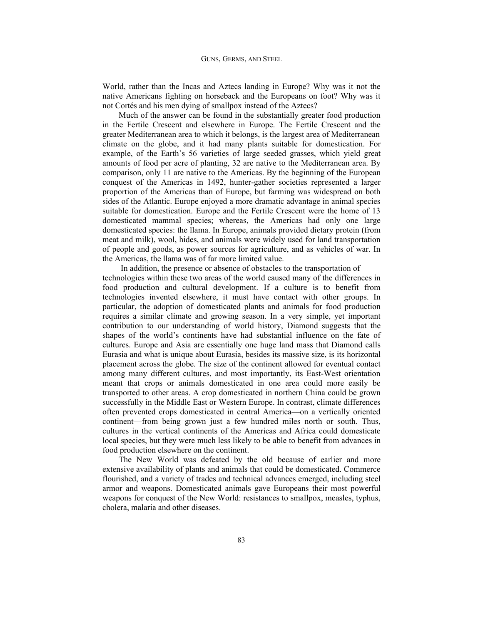World, rather than the Incas and Aztecs landing in Europe? Why was it not the native Americans fighting on horseback and the Europeans on foot? Why was it not Cortés and his men dying of smallpox instead of the Aztecs?

Much of the answer can be found in the substantially greater food production in the Fertile Crescent and elsewhere in Europe. The Fertile Crescent and the greater Mediterranean area to which it belongs, is the largest area of Mediterranean climate on the globe, and it had many plants suitable for domestication. For example, of the Earth's 56 varieties of large seeded grasses, which yield great amounts of food per acre of planting, 32 are native to the Mediterranean area. By comparison, only 11 are native to the Americas. By the beginning of the European conquest of the Americas in 1492, hunter-gather societies represented a larger proportion of the Americas than of Europe, but farming was widespread on both sides of the Atlantic. Europe enjoyed a more dramatic advantage in animal species suitable for domestication. Europe and the Fertile Crescent were the home of 13 domesticated mammal species; whereas, the Americas had only one large domesticated species: the llama. In Europe, animals provided dietary protein (from meat and milk), wool, hides, and animals were widely used for land transportation of people and goods, as power sources for agriculture, and as vehicles of war. In the Americas, the llama was of far more limited value.

 In addition, the presence or absence of obstacles to the transportation of technologies within these two areas of the world caused many of the differences in food production and cultural development. If a culture is to benefit from technologies invented elsewhere, it must have contact with other groups. In particular, the adoption of domesticated plants and animals for food production requires a similar climate and growing season. In a very simple, yet important contribution to our understanding of world history, Diamond suggests that the shapes of the world's continents have had substantial influence on the fate of cultures. Europe and Asia are essentially one huge land mass that Diamond calls Eurasia and what is unique about Eurasia, besides its massive size, is its horizontal placement across the globe. The size of the continent allowed for eventual contact among many different cultures, and most importantly, its East-West orientation meant that crops or animals domesticated in one area could more easily be transported to other areas. A crop domesticated in northern China could be grown successfully in the Middle East or Western Europe. In contrast, climate differences often prevented crops domesticated in central America—on a vertically oriented continent—from being grown just a few hundred miles north or south. Thus, cultures in the vertical continents of the Americas and Africa could domesticate local species, but they were much less likely to be able to benefit from advances in food production elsewhere on the continent.

The New World was defeated by the old because of earlier and more extensive availability of plants and animals that could be domesticated. Commerce flourished, and a variety of trades and technical advances emerged, including steel armor and weapons. Domesticated animals gave Europeans their most powerful weapons for conquest of the New World: resistances to smallpox, measles, typhus, cholera, malaria and other diseases.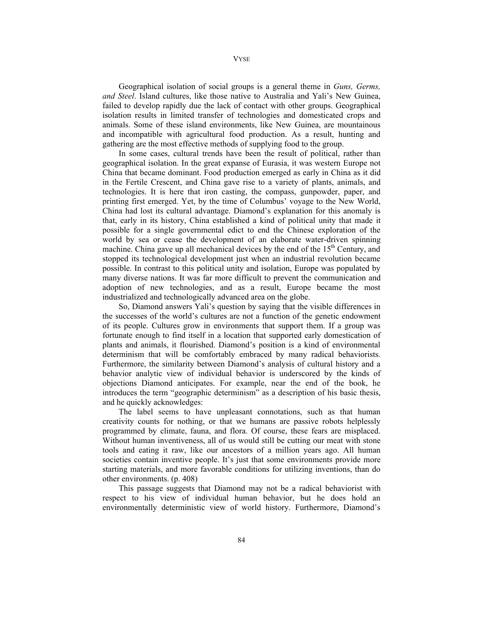VYSE

Geographical isolation of social groups is a general theme in *Guns, Germs, and Steel*. Island cultures, like those native to Australia and Yali's New Guinea, failed to develop rapidly due the lack of contact with other groups. Geographical isolation results in limited transfer of technologies and domesticated crops and animals. Some of these island environments, like New Guinea, are mountainous and incompatible with agricultural food production. As a result, hunting and gathering are the most effective methods of supplying food to the group.

In some cases, cultural trends have been the result of political, rather than geographical isolation. In the great expanse of Eurasia, it was western Europe not China that became dominant. Food production emerged as early in China as it did in the Fertile Crescent, and China gave rise to a variety of plants, animals, and technologies. It is here that iron casting, the compass, gunpowder, paper, and printing first emerged. Yet, by the time of Columbus' voyage to the New World, China had lost its cultural advantage. Diamond's explanation for this anomaly is that, early in its history, China established a kind of political unity that made it possible for a single governmental edict to end the Chinese exploration of the world by sea or cease the development of an elaborate water-driven spinning machine. China gave up all mechanical devices by the end of the  $15<sup>th</sup>$  Century, and stopped its technological development just when an industrial revolution became possible. In contrast to this political unity and isolation, Europe was populated by many diverse nations. It was far more difficult to prevent the communication and adoption of new technologies, and as a result, Europe became the most industrialized and technologically advanced area on the globe.

So, Diamond answers Yali's question by saying that the visible differences in the successes of the world's cultures are not a function of the genetic endowment of its people. Cultures grow in environments that support them. If a group was fortunate enough to find itself in a location that supported early domestication of plants and animals, it flourished. Diamond's position is a kind of environmental determinism that will be comfortably embraced by many radical behaviorists. Furthermore, the similarity between Diamond's analysis of cultural history and a behavior analytic view of individual behavior is underscored by the kinds of objections Diamond anticipates. For example, near the end of the book, he introduces the term "geographic determinism" as a description of his basic thesis, and he quickly acknowledges:

The label seems to have unpleasant connotations, such as that human creativity counts for nothing, or that we humans are passive robots helplessly programmed by climate, fauna, and flora. Of course, these fears are misplaced. Without human inventiveness, all of us would still be cutting our meat with stone tools and eating it raw, like our ancestors of a million years ago. All human societies contain inventive people. It's just that some environments provide more starting materials, and more favorable conditions for utilizing inventions, than do other environments. (p. 408)

This passage suggests that Diamond may not be a radical behaviorist with respect to his view of individual human behavior, but he does hold an environmentally deterministic view of world history. Furthermore, Diamond's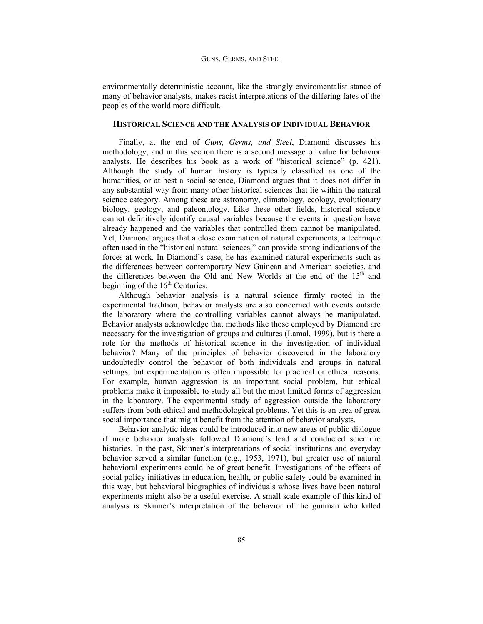#### GUNS, GERMS, AND STEEL

environmentally deterministic account, like the strongly enviromentalist stance of many of behavior analysts, makes racist interpretations of the differing fates of the peoples of the world more difficult.

### **HISTORICAL SCIENCE AND THE ANALYSIS OF INDIVIDUAL BEHAVIOR**

Finally, at the end of *Guns, Germs, and Steel*, Diamond discusses his methodology, and in this section there is a second message of value for behavior analysts. He describes his book as a work of "historical science" (p. 421). Although the study of human history is typically classified as one of the humanities, or at best a social science, Diamond argues that it does not differ in any substantial way from many other historical sciences that lie within the natural science category. Among these are astronomy, climatology, ecology, evolutionary biology, geology, and paleontology. Like these other fields, historical science cannot definitively identify causal variables because the events in question have already happened and the variables that controlled them cannot be manipulated. Yet, Diamond argues that a close examination of natural experiments, a technique often used in the "historical natural sciences," can provide strong indications of the forces at work. In Diamond's case, he has examined natural experiments such as the differences between contemporary New Guinean and American societies, and the differences between the Old and New Worlds at the end of the  $15<sup>th</sup>$  and beginning of the  $16<sup>th</sup>$  Centuries.

Although behavior analysis is a natural science firmly rooted in the experimental tradition, behavior analysts are also concerned with events outside the laboratory where the controlling variables cannot always be manipulated. Behavior analysts acknowledge that methods like those employed by Diamond are necessary for the investigation of groups and cultures (Lamal, 1999), but is there a role for the methods of historical science in the investigation of individual behavior? Many of the principles of behavior discovered in the laboratory undoubtedly control the behavior of both individuals and groups in natural settings, but experimentation is often impossible for practical or ethical reasons. For example, human aggression is an important social problem, but ethical problems make it impossible to study all but the most limited forms of aggression in the laboratory. The experimental study of aggression outside the laboratory suffers from both ethical and methodological problems. Yet this is an area of great social importance that might benefit from the attention of behavior analysts.

Behavior analytic ideas could be introduced into new areas of public dialogue if more behavior analysts followed Diamond's lead and conducted scientific histories. In the past, Skinner's interpretations of social institutions and everyday behavior served a similar function (e.g., 1953, 1971), but greater use of natural behavioral experiments could be of great benefit. Investigations of the effects of social policy initiatives in education, health, or public safety could be examined in this way, but behavioral biographies of individuals whose lives have been natural experiments might also be a useful exercise. A small scale example of this kind of analysis is Skinner's interpretation of the behavior of the gunman who killed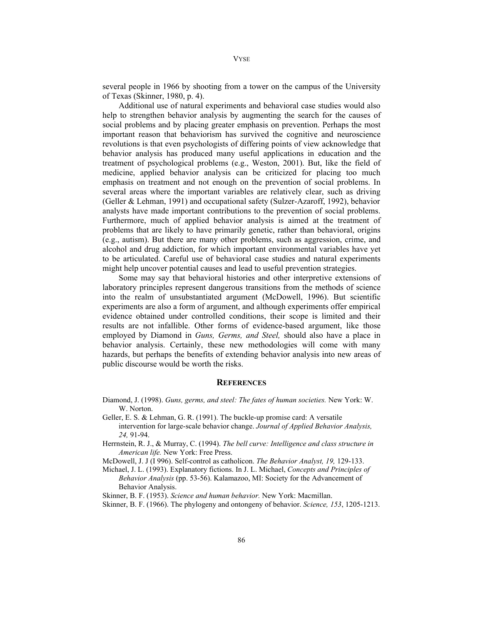several people in 1966 by shooting from a tower on the campus of the University of Texas (Skinner, 1980, p. 4).

Additional use of natural experiments and behavioral case studies would also help to strengthen behavior analysis by augmenting the search for the causes of social problems and by placing greater emphasis on prevention. Perhaps the most important reason that behaviorism has survived the cognitive and neuroscience revolutions is that even psychologists of differing points of view acknowledge that behavior analysis has produced many useful applications in education and the treatment of psychological problems (e.g., Weston, 2001). But, like the field of medicine, applied behavior analysis can be criticized for placing too much emphasis on treatment and not enough on the prevention of social problems. In several areas where the important variables are relatively clear, such as driving (Geller & Lehman, 1991) and occupational safety (Sulzer-Azaroff, 1992), behavior analysts have made important contributions to the prevention of social problems. Furthermore, much of applied behavior analysis is aimed at the treatment of problems that are likely to have primarily genetic, rather than behavioral, origins (e.g., autism). But there are many other problems, such as aggression, crime, and alcohol and drug addiction, for which important environmental variables have yet to be articulated. Careful use of behavioral case studies and natural experiments might help uncover potential causes and lead to useful prevention strategies.

Some may say that behavioral histories and other interpretive extensions of laboratory principles represent dangerous transitions from the methods of science into the realm of unsubstantiated argument (McDowell, 1996). But scientific experiments are also a form of argument, and although experiments offer empirical evidence obtained under controlled conditions, their scope is limited and their results are not infallible. Other forms of evidence-based argument, like those employed by Diamond in *Guns, Germs, and Steel,* should also have a place in behavior analysis. Certainly, these new methodologies will come with many hazards, but perhaps the benefits of extending behavior analysis into new areas of public discourse would be worth the risks.

#### **REFERENCES**

- Diamond, J. (1998). *Guns, germs, and steel: The fates of human societies.* New York: W. W. Norton.
- Geller, E. S. & Lehman, G. R. (1991). The buckle-up promise card: A versatile intervention for large-scale behavior change. *Journal of Applied Behavior Analysis, 24,* 91-94.
- Herrnstein, R. J., & Murray, C. (1994). *The bell curve: Intelligence and class structure in American life.* New York: Free Press.
- McDowell, J. J (I 996). Self-control as catholicon. *The Behavior Analyst, 19,* 129-133.
- Michael, J. L. (1993). Explanatory fictions. In J. L. Michael, *Concepts and Principles of Behavior Analysis* (pp. 53-56). Kalamazoo, MI: Society for the Advancement of Behavior Analysis.
- Skinner, B. F. (1953). *Science and human behavior.* New York: Macmillan.
- Skinner, B. F. (1966). The phylogeny and ontongeny of behavior. *Science, 153*, 1205-1213.